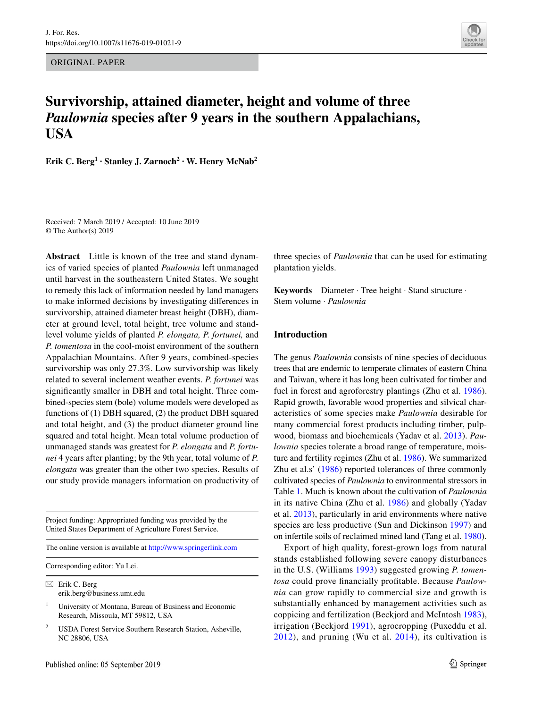ORIGINAL PAPER



# **Survivorship, attained diameter, height and volume of three**  *Paulownia* **species after 9 years in the southern Appalachians, USA**

**Erik C. Berg<sup>1</sup> · Stanley J. Zarnoch<sup>2</sup> · W. Henry McNab<sup>2</sup>**

Received: 7 March 2019 / Accepted: 10 June 2019 © The Author(s) 2019

**Abstract** Little is known of the tree and stand dynamics of varied species of planted *Paulownia* left unmanaged until harvest in the southeastern United States. We sought to remedy this lack of information needed by land managers to make informed decisions by investigating diferences in survivorship, attained diameter breast height (DBH), diameter at ground level, total height, tree volume and standlevel volume yields of planted *P. elongata, P. fortunei,* and *P. tomentosa* in the cool-moist environment of the southern Appalachian Mountains. After 9 years, combined-species survivorship was only 27.3%. Low survivorship was likely related to several inclement weather events. *P. fortunei* was signifcantly smaller in DBH and total height. Three combined-species stem (bole) volume models were developed as functions of (1) DBH squared, (2) the product DBH squared and total height, and (3) the product diameter ground line squared and total height. Mean total volume production of unmanaged stands was greatest for *P. elongata* and *P. fortunei* 4 years after planting; by the 9th year, total volume of *P. elongata* was greater than the other two species. Results of our study provide managers information on productivity of

Project funding: Appropriated funding was provided by the United States Department of Agriculture Forest Service.

The online version is available at<http://www.springerlink.com>

Corresponding editor: Yu Lei.

 $\boxtimes$  Erik C. Berg erik.berg@business.umt.edu

<sup>1</sup> University of Montana, Bureau of Business and Economic Research, Missoula, MT 59812, USA

<sup>2</sup> USDA Forest Service Southern Research Station, Asheville, NC 28806, USA

three species of *Paulownia* that can be used for estimating plantation yields.

**Keywords** Diameter · Tree height · Stand structure · Stem volume · *Paulownia*

#### **Introduction**

The genus *Paulownia* consists of nine species of deciduous trees that are endemic to temperate climates of eastern China and Taiwan, where it has long been cultivated for timber and fuel in forest and agroforestry plantings (Zhu et al. [1986](#page-10-0)). Rapid growth, favorable wood properties and silvical characteristics of some species make *Paulownia* desirable for many commercial forest products including timber, pulpwood, biomass and biochemicals (Yadav et al. [2013\)](#page-10-1). *Paulownia* species tolerate a broad range of temperature, moisture and fertility regimes (Zhu et al. [1986\)](#page-10-0). We summarized Zhu et al.s' ([1986](#page-10-0)) reported tolerances of three commonly cultivated species of *Paulownia* to environmental stressors in Table [1](#page-1-0). Much is known about the cultivation of *Paulownia* in its native China (Zhu et al. [1986\)](#page-10-0) and globally (Yadav et al. [2013\)](#page-10-1), particularly in arid environments where native species are less productive (Sun and Dickinson [1997](#page-9-0)) and on infertile soils of reclaimed mined land (Tang et al. [1980](#page-9-1)).

Export of high quality, forest-grown logs from natural stands established following severe canopy disturbances in the U.S. (Williams [1993](#page-10-2)) suggested growing *P. tomentosa* could prove fnancially proftable. Because *Paulownia* can grow rapidly to commercial size and growth is substantially enhanced by management activities such as coppicing and fertilization (Beckjord and McIntosh [1983](#page-9-2)), irrigation (Beckjord [1991\)](#page-9-3), agrocropping (Puxeddu et al. [2012\)](#page-9-4), and pruning (Wu et al. [2014](#page-10-3)), its cultivation is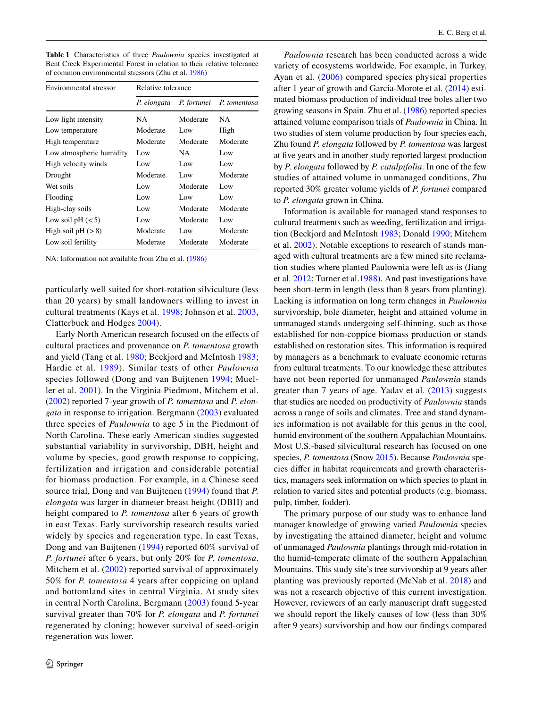<span id="page-1-0"></span>**Table 1** Characteristics of three *Paulownia* species investigated at Bent Creek Experimental Forest in relation to their relative tolerance of common environmental stressors (Zhu et al. [1986\)](#page-10-0)

| Environmental stressor   | Relative tolerance |             |              |  |  |
|--------------------------|--------------------|-------------|--------------|--|--|
|                          | P. elongata        | P. fortunei | P. tomentosa |  |  |
| Low light intensity      | NA                 | Moderate    | NA           |  |  |
| Low temperature          | Moderate           | Low         | High         |  |  |
| High temperature         | Moderate           | Moderate    | Moderate     |  |  |
| Low atmospheric humidity | Low                | NA.         | Low          |  |  |
| High velocity winds      | Low                | Low         | Low          |  |  |
| Drought                  | Moderate           | Low         | Moderate     |  |  |
| Wet soils                | Low                | Moderate    | Low          |  |  |
| Flooding                 | Low                | Low         | Low          |  |  |
| High-clay soils          | Low                | Moderate    | Moderate     |  |  |
| Low soil pH $(< 5)$      | Low                | Moderate    | Low          |  |  |
| High soil $pH (>8)$      | Moderate           | Low         | Moderate     |  |  |
| Low soil fertility       | Moderate           | Moderate    | Moderate     |  |  |

NA: Information not available from Zhu et al. [\(1986](#page-10-0))

particularly well suited for short-rotation silviculture (less than 20 years) by small landowners willing to invest in cultural treatments (Kays et al. [1998;](#page-9-5) Johnson et al. [2003,](#page-9-6) Clatterbuck and Hodges [2004\)](#page-9-7).

Early North American research focused on the efects of cultural practices and provenance on *P. tomentosa* growth and yield (Tang et al. [1980](#page-9-1); Beckjord and McIntosh [1983](#page-9-2); Hardie et al. [1989\)](#page-9-8). Similar tests of other *Paulownia* species followed (Dong and van Buijtenen [1994](#page-9-9); Mueller et al. [2001](#page-9-10)). In the Virginia Piedmont, Mitchem et al. [\(2002\)](#page-9-11) reported 7-year growth of *P. tomentosa* and *P. elongata* in response to irrigation. Bergmann ([2003](#page-9-12)) evaluated three species of *Paulownia* to age 5 in the Piedmont of North Carolina. These early American studies suggested substantial variability in survivorship, DBH, height and volume by species, good growth response to coppicing, fertilization and irrigation and considerable potential for biomass production. For example, in a Chinese seed source trial, Dong and van Buijtenen ([1994\)](#page-9-9) found that *P. elongata* was larger in diameter breast height (DBH) and height compared to *P. tomentosa* after 6 years of growth in east Texas. Early survivorship research results varied widely by species and regeneration type. In east Texas, Dong and van Buijtenen ([1994](#page-9-9)) reported 60% survival of *P. fortunei* after 6 years, but only 20% for *P. tomentosa*. Mitchem et al. [\(2002](#page-9-11)) reported survival of approximately 50% for *P. tomentosa* 4 years after coppicing on upland and bottomland sites in central Virginia. At study sites in central North Carolina, Bergmann ([2003](#page-9-12)) found 5-year survival greater than 70% for *P. elongata* and *P. fortunei* regenerated by cloning; however survival of seed-origin regeneration was lower.

*Paulownia* research has been conducted across a wide variety of ecosystems worldwide. For example, in Turkey, Ayan et al. ([2006\)](#page-9-13) compared species physical properties after 1 year of growth and Garcia-Morote et al. ([2014](#page-9-14)) estimated biomass production of individual tree boles after two growing seasons in Spain. Zhu et al. [\(1986](#page-10-0)) reported species attained volume comparison trials of *Paulownia* in China. In two studies of stem volume production by four species each, Zhu found *P. elongata* followed by *P. tomentosa* was largest at five years and in another study reported largest production by *P. elongata* followed by *P. catalpifolia*. In one of the few studies of attained volume in unmanaged conditions, Zhu reported 30% greater volume yields of *P. fortunei* compared to *P. elongata* grown in China.

Information is available for managed stand responses to cultural treatments such as weeding, fertilization and irrigation (Beckjord and McIntosh [1983](#page-9-2); Donald [1990;](#page-9-15) Mitchem et al. [2002\)](#page-9-11). Notable exceptions to research of stands managed with cultural treatments are a few mined site reclamation studies where planted Paulownia were left as-is (Jiang et al. [2012;](#page-9-16) Turner et al.[1988\)](#page-9-17). And past investigations have been short-term in length (less than 8 years from planting). Lacking is information on long term changes in *Paulownia* survivorship, bole diameter, height and attained volume in unmanaged stands undergoing self-thinning, such as those established for non-coppice biomass production or stands established on restoration sites. This information is required by managers as a benchmark to evaluate economic returns from cultural treatments. To our knowledge these attributes have not been reported for unmanaged *Paulownia* stands greater than 7 years of age. Yadav et al. ([2013\)](#page-10-1) suggests that studies are needed on productivity of *Paulownia* stands across a range of soils and climates. Tree and stand dynamics information is not available for this genus in the cool, humid environment of the southern Appalachian Mountains. Most U.S.-based silvicultural research has focused on one species, *P. tomentosa* (Snow [2015\)](#page-9-18). Because *Paulownia* species difer in habitat requirements and growth characteristics, managers seek information on which species to plant in relation to varied sites and potential products (e.g. biomass, pulp, timber, fodder).

The primary purpose of our study was to enhance land manager knowledge of growing varied *Paulownia* species by investigating the attained diameter, height and volume of unmanaged *Paulownia* plantings through mid-rotation in the humid-temperate climate of the southern Appalachian Mountains. This study site's tree survivorship at 9 years after planting was previously reported (McNab et al. [2018](#page-9-19)) and was not a research objective of this current investigation. However, reviewers of an early manuscript draft suggested we should report the likely causes of low (less than 30% after 9 years) survivorship and how our fndings compared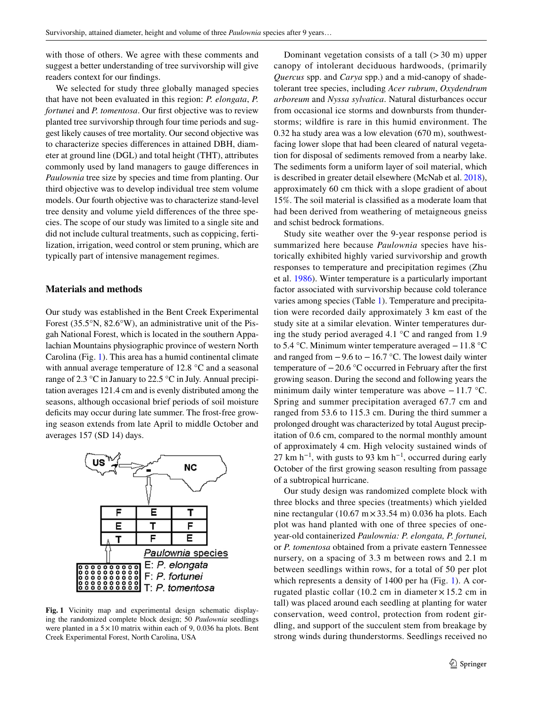with those of others. We agree with these comments and suggest a better understanding of tree survivorship will give readers context for our fndings.

We selected for study three globally managed species that have not been evaluated in this region: *P. elongata*, *P. fortunei* and *P. tomentosa*. Our first objective was to review planted tree survivorship through four time periods and suggest likely causes of tree mortality. Our second objective was to characterize species diferences in attained DBH, diameter at ground line (DGL) and total height (THT), attributes commonly used by land managers to gauge diferences in *Paulownia* tree size by species and time from planting. Our third objective was to develop individual tree stem volume models. Our fourth objective was to characterize stand-level tree density and volume yield diferences of the three species. The scope of our study was limited to a single site and did not include cultural treatments, such as coppicing, fertilization, irrigation, weed control or stem pruning, which are typically part of intensive management regimes.

## **Materials and methods**

Our study was established in the Bent Creek Experimental Forest (35.5°N, 82.6°W), an administrative unit of the Pisgah National Forest, which is located in the southern Appalachian Mountains physiographic province of western North Carolina (Fig. [1\)](#page-2-0). This area has a humid continental climate with annual average temperature of 12.8 °C and a seasonal range of 2.3 °C in January to 22.5 °C in July. Annual precipitation averages 121.4 cm and is evenly distributed among the seasons, although occasional brief periods of soil moisture deficits may occur during late summer. The frost-free growing season extends from late April to middle October and averages 157 (SD 14) days.



<span id="page-2-0"></span>**Fig. 1** Vicinity map and experimental design schematic displaying the randomized complete block design; 50 *Paulownia* seedlings were planted in a  $5 \times 10$  matrix within each of 9, 0.036 ha plots. Bent Creek Experimental Forest, North Carolina, USA

Dominant vegetation consists of a tall  $(>30 \text{ m})$  upper canopy of intolerant deciduous hardwoods, (primarily *Quercus* spp. and *Carya* spp.) and a mid-canopy of shadetolerant tree species, including *Acer rubrum*, *Oxydendrum arboreum* and *Nyssa sylvatica*. Natural disturbances occur from occasional ice storms and downbursts from thunderstorms; wildfre is rare in this humid environment. The 0.32 ha study area was a low elevation (670 m), southwestfacing lower slope that had been cleared of natural vegetation for disposal of sediments removed from a nearby lake. The sediments form a uniform layer of soil material, which is described in greater detail elsewhere (McNab et al. [2018](#page-9-19)), approximately 60 cm thick with a slope gradient of about 15%. The soil material is classifed as a moderate loam that had been derived from weathering of metaigneous gneiss and schist bedrock formations.

Study site weather over the 9-year response period is summarized here because *Paulownia* species have historically exhibited highly varied survivorship and growth responses to temperature and precipitation regimes (Zhu et al. [1986\)](#page-10-0). Winter temperature is a particularly important factor associated with survivorship because cold tolerance varies among species (Table [1](#page-1-0)). Temperature and precipitation were recorded daily approximately 3 km east of the study site at a similar elevation. Winter temperatures during the study period averaged 4.1  $\degree$ C and ranged from 1.9 to 5.4 °C. Minimum winter temperature averaged −11.8 °C and ranged from  $-9.6$  to  $-16.7$  °C. The lowest daily winter temperature of  $-20.6$  °C occurred in February after the first growing season. During the second and following years the minimum daily winter temperature was above −11.7 °C. Spring and summer precipitation averaged 67.7 cm and ranged from 53.6 to 115.3 cm. During the third summer a prolonged drought was characterized by total August precipitation of 0.6 cm, compared to the normal monthly amount of approximately 4 cm. High velocity sustained winds of 27 km h<sup>-1</sup>, with gusts to 93 km h<sup>-1</sup>, occurred during early October of the frst growing season resulting from passage of a subtropical hurricane.

Our study design was randomized complete block with three blocks and three species (treatments) which yielded nine rectangular  $(10.67 \text{ m} \times 33.54 \text{ m})$  0.036 ha plots. Each plot was hand planted with one of three species of oneyear-old containerized *Paulownia: P. elongata, P. fortunei,* or *P. tomentosa* obtained from a private eastern Tennessee nursery, on a spacing of 3.3 m between rows and 2.1 m between seedlings within rows, for a total of 50 per plot which represents a density of [1](#page-2-0)400 per ha (Fig. 1). A corrugated plastic collar  $(10.2 \text{ cm})$  in diameter  $\times 15.2 \text{ cm}$  in tall) was placed around each seedling at planting for water conservation, weed control, protection from rodent girdling, and support of the succulent stem from breakage by strong winds during thunderstorms. Seedlings received no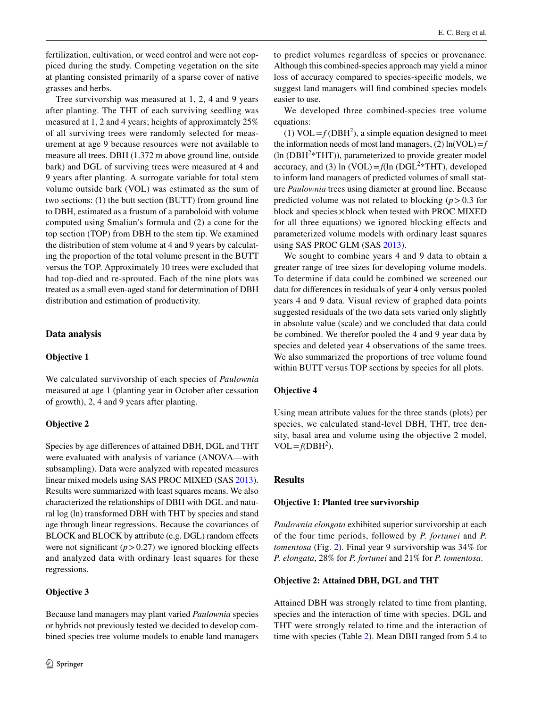fertilization, cultivation, or weed control and were not coppiced during the study. Competing vegetation on the site at planting consisted primarily of a sparse cover of native grasses and herbs.

Tree survivorship was measured at 1, 2, 4 and 9 years after planting. The THT of each surviving seedling was measured at 1, 2 and 4 years; heights of approximately 25% of all surviving trees were randomly selected for measurement at age 9 because resources were not available to measure all trees. DBH (1.372 m above ground line, outside bark) and DGL of surviving trees were measured at 4 and 9 years after planting. A surrogate variable for total stem volume outside bark (VOL) was estimated as the sum of two sections: (1) the butt section (BUTT) from ground line to DBH, estimated as a frustum of a paraboloid with volume computed using Smalian's formula and (2) a cone for the top section (TOP) from DBH to the stem tip. We examined the distribution of stem volume at 4 and 9 years by calculating the proportion of the total volume present in the BUTT versus the TOP. Approximately 10 trees were excluded that had top-died and re-sprouted. Each of the nine plots was treated as a small even-aged stand for determination of DBH distribution and estimation of productivity.

# **Data analysis**

## **Objective 1**

We calculated survivorship of each species of *Paulownia* measured at age 1 (planting year in October after cessation of growth), 2, 4 and 9 years after planting.

### **Objective 2**

Species by age diferences of attained DBH, DGL and THT were evaluated with analysis of variance (ANOVA—with subsampling). Data were analyzed with repeated measures linear mixed models using SAS PROC MIXED (SAS [2013](#page-9-20)). Results were summarized with least squares means. We also characterized the relationships of DBH with DGL and natural log (ln) transformed DBH with THT by species and stand age through linear regressions. Because the covariances of BLOCK and BLOCK by attribute (e.g. DGL) random effects were not significant  $(p > 0.27)$  we ignored blocking effects and analyzed data with ordinary least squares for these regressions.

# **Objective 3**

Because land managers may plant varied *Paulownia* species or hybrids not previously tested we decided to develop combined species tree volume models to enable land managers to predict volumes regardless of species or provenance. Although this combined-species approach may yield a minor loss of accuracy compared to species-specifc models, we suggest land managers will fnd combined species models easier to use.

We developed three combined-species tree volume equations:

(1)  $VOL = f(DBH<sup>2</sup>)$ , a simple equation designed to meet the information needs of most land managers,  $(2)$  ln(VOL)= $f$  $(ln (DBH<sup>2</sup>*THT))$ , parameterized to provide greater model accuracy, and (3)  $\ln (VOL) = f(\ln (DGL^2*THT))$ , developed to inform land managers of predicted volumes of small stature *Paulownia* trees using diameter at ground line. Because predicted volume was not related to blocking  $(p > 0.3$  for block and species  $\times$  block when tested with PROC MIXED for all three equations) we ignored blocking efects and parameterized volume models with ordinary least squares using SAS PROC GLM (SAS [2013\)](#page-9-20).

We sought to combine years 4 and 9 data to obtain a greater range of tree sizes for developing volume models. To determine if data could be combined we screened our data for diferences in residuals of year 4 only versus pooled years 4 and 9 data. Visual review of graphed data points suggested residuals of the two data sets varied only slightly in absolute value (scale) and we concluded that data could be combined. We therefor pooled the 4 and 9 year data by species and deleted year 4 observations of the same trees. We also summarized the proportions of tree volume found within BUTT versus TOP sections by species for all plots.

### **Objective 4**

Using mean attribute values for the three stands (plots) per species, we calculated stand-level DBH, THT, tree density, basal area and volume using the objective 2 model,  $VOL = f(DBH<sup>2</sup>).$ 

## **Results**

#### **Objective 1: Planted tree survivorship**

*Paulownia elongata* exhibited superior survivorship at each of the four time periods, followed by *P. fortunei* and *P. tomentosa* (Fig. [2\)](#page-4-0). Final year 9 survivorship was 34% for *P. elongata*, 28% for *P. fortunei* and 21% for *P. tomentosa*.

#### **Objective 2: Attained DBH, DGL and THT**

Attained DBH was strongly related to time from planting, species and the interaction of time with species. DGL and THT were strongly related to time and the interaction of time with species (Table [2](#page-4-1)). Mean DBH ranged from 5.4 to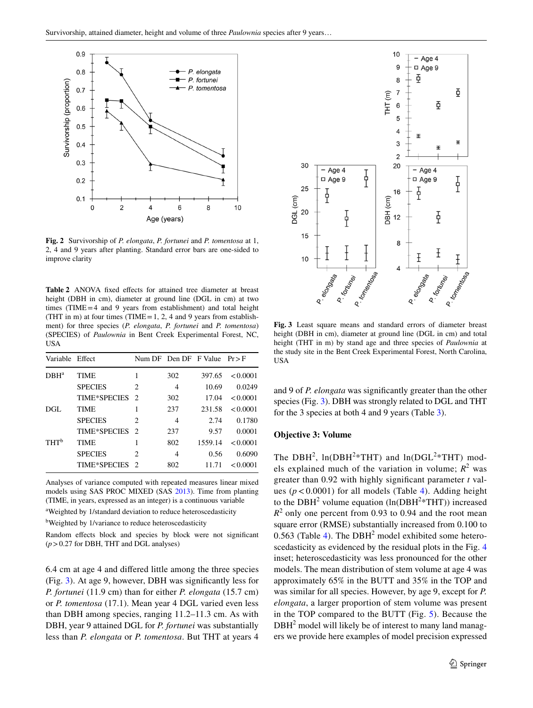

<span id="page-4-0"></span>**Fig. 2** Survivorship of *P. elongata*, *P. fortunei* and *P. tomentosa* at 1, 2, 4 and 9 years after planting. Standard error bars are one-sided to improve clarity

<span id="page-4-1"></span>Table 2 ANOVA fixed effects for attained tree diameter at breast height (DBH in cm), diameter at ground line (DGL in cm) at two times (TIME=4 and 9 years from establishment) and total height (THT in m) at four times (TIME =  $1, 2, 4$  and 9 years from establishment) for three species (*P. elongata*, *P. fortunei* and *P. tomentosa*) (SPECIES) of *Paulownia* in Bent Creek Experimental Forest, NC, USA

| Variable Effect               |                     |               |     | Num DF Den DF F Value $Pr > F$ |          |
|-------------------------------|---------------------|---------------|-----|--------------------------------|----------|
| $D$ <sub>BH<sup>a</sup></sub> | TIME                | 1             | 302 | 397.65                         | < 0.0001 |
|                               | <b>SPECIES</b>      | 2             | 4   | 10.69                          | 0.0249   |
|                               | <b>TIME*SPECIES</b> | $\mathcal{L}$ | 302 | 17.04                          | < 0.0001 |
| DGL                           | TIME                | 1             | 237 | 231.58                         | < 0.0001 |
|                               | <b>SPECIES</b>      | $\mathcal{L}$ | 4   | 2.74                           | 0.1780   |
|                               | <b>TIME*SPECIES</b> | $\mathcal{D}$ | 237 | 9.57                           | 0.0001   |
| THT <sup>b</sup>              | TIME                | 1             | 802 | 1559.14                        | < 0.0001 |
|                               | <b>SPECIES</b>      | 2             | 4   | 0.56                           | 0.6090   |
|                               | <b>TIME*SPECIES</b> | $\mathcal{D}$ | 802 | 11.71                          | < 0.0001 |
|                               |                     |               |     |                                |          |

Analyses of variance computed with repeated measures linear mixed models using SAS PROC MIXED (SAS [2013\)](#page-9-20). Time from planting (TIME, in years, expressed as an integer) is a continuous variable

<sup>a</sup>Weighted by 1/standard deviation to reduce heteroscedasticity

<sup>b</sup>Weighted by 1/variance to reduce heteroscedasticity

Random effects block and species by block were not significant (*p*>0.27 for DBH, THT and DGL analyses)

6.4 cm at age 4 and difered little among the three species (Fig. [3](#page-4-2)). At age 9, however, DBH was signifcantly less for *P. fortunei* (11.9 cm) than for either *P. elongata* (15.7 cm) or *P. tomentosa* (17.1). Mean year 4 DGL varied even less than DBH among species, ranging 11.2–11.3 cm. As with DBH, year 9 attained DGL for *P. fortunei* was substantially less than *P. elongata* or *P. tomentosa*. But THT at years 4



<span id="page-4-2"></span>**Fig. 3** Least square means and standard errors of diameter breast height (DBH in cm), diameter at ground line (DGL in cm) and total height (THT in m) by stand age and three species of *Paulownia* at the study site in the Bent Creek Experimental Forest, North Carolina, USA

and 9 of *P. elongata* was signifcantly greater than the other species (Fig. [3](#page-4-2)). DBH was strongly related to DGL and THT for the 3 species at both 4 and 9 years (Table [3](#page-5-0)).

#### **Objective 3: Volume**

The DBH<sup>2</sup>,  $ln(DBH^{2*}THT)$  and  $ln(DGL^{2*}THT)$  models explained much of the variation in volume;  $R^2$  was greater than 0.92 with highly signifcant parameter *t* values  $(p < 0.0001)$  for all models (Table [4\)](#page-5-1). Adding height to the DBH<sup>2</sup> volume equation  $(ln(DBH<sup>2</sup>*THT))$  increased  $R<sup>2</sup>$  only one percent from 0.93 to 0.94 and the root mean square error (RMSE) substantially increased from 0.100 to 0.563 (Table [4](#page-5-1)). The  $DBH<sup>2</sup>$  model exhibited some hetero-scedasticity as evidenced by the residual plots in the Fig. [4](#page-6-0) inset; heteroscedasticity was less pronounced for the other models. The mean distribution of stem volume at age 4 was approximately 65% in the BUTT and 35% in the TOP and was similar for all species. However, by age 9, except for *P. elongata*, a larger proportion of stem volume was present in the TOP compared to the BUTT (Fig. [5\)](#page-6-1). Because the DBH<sup>2</sup> model will likely be of interest to many land managers we provide here examples of model precision expressed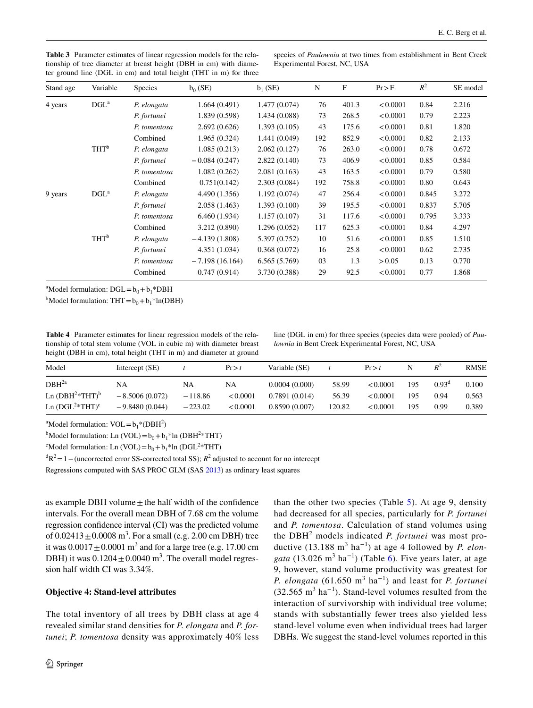| Stand age | Variable         | <b>Species</b> | $b_0$ (SE)       | $b_1$ (SE)    | N   | $\mathbf{F}$ | Pr > F   | $R^2$ | SE model |
|-----------|------------------|----------------|------------------|---------------|-----|--------------|----------|-------|----------|
| 4 years   | $DGL^a$          | P. elongata    | 1.664(0.491)     | 1.477 (0.074) | 76  | 401.3        | < 0.0001 | 0.84  | 2.216    |
|           |                  | P. fortunei    | 1.839 (0.598)    | 1.434 (0.088) | 73  | 268.5        | < 0.0001 | 0.79  | 2.223    |
|           |                  | P. tomentosa   | 2.692(0.626)     | 1.393(0.105)  | 43  | 175.6        | < 0.0001 | 0.81  | 1.820    |
|           |                  | Combined       | 1.965(0.324)     | 1.441 (0.049) | 192 | 852.9        | < 0.0001 | 0.82  | 2.133    |
|           | THT <sup>b</sup> | P. elongata    | 1.085(0.213)     | 2.062(0.127)  | 76  | 263.0        | < 0.0001 | 0.78  | 0.672    |
|           |                  | P. fortunei    | $-0.084(0.247)$  | 2.822(0.140)  | 73  | 406.9        | < 0.0001 | 0.85  | 0.584    |
|           |                  | P. tomentosa   | 1.082(0.262)     | 2.081(0.163)  | 43  | 163.5        | < 0.0001 | 0.79  | 0.580    |
|           |                  | Combined       | 0.751(0.142)     | 2.303(0.084)  | 192 | 758.8        | < 0.0001 | 0.80  | 0.643    |
| 9 years   | $DGL^a$          | P. elongata    | 4.490 (1.356)    | 1.192(0.074)  | 47  | 256.4        | < 0.0001 | 0.845 | 3.272    |
|           |                  | P. fortunei    | 2.058(1.463)     | 1.393(0.100)  | 39  | 195.5        | < 0.0001 | 0.837 | 5.705    |
|           |                  | P. tomentosa   | 6.460(1.934)     | 1.157(0.107)  | 31  | 117.6        | < 0.0001 | 0.795 | 3.333    |
|           |                  | Combined       | 3.212 (0.890)    | 1.296(0.052)  | 117 | 625.3        | < 0.0001 | 0.84  | 4.297    |
|           | THT <sup>b</sup> | P. elongata    | $-4.139(1.808)$  | 5.397 (0.752) | 10  | 51.6         | < 0.0001 | 0.85  | 1.510    |
|           |                  | P. fortunei    | 4.351(1.034)     | 0.368(0.072)  | 16  | 25.8         | < 0.0001 | 0.62  | 2.735    |
|           |                  | P. tomentosa   | $-7.198(16.164)$ | 6.565(5.769)  | 03  | 1.3          | > 0.05   | 0.13  | 0.770    |
|           |                  | Combined       | 0.747(0.914)     | 3.730 (0.388) | 29  | 92.5         | < 0.0001 | 0.77  | 1.868    |

<span id="page-5-0"></span>**Table 3** Parameter estimates of linear regression models for the relationship of tree diameter at breast height (DBH in cm) with diameter ground line (DGL in cm) and total height (THT in m) for three

species of *Paulownia* at two times from establishment in Bent Creek Experimental Forest, NC, USA

<sup>a</sup>Model formulation:  $DGL = b_0 + b_1 * DBH$ 

<sup>b</sup>Model formulation:  $THT = b_0 + b_1 * ln(DBH)$ 

<span id="page-5-1"></span>**Table 4** Parameter estimates for linear regression models of the relationship of total stem volume (VOL in cubic m) with diameter breast height (DBH in cm), total height (THT in m) and diameter at ground

line (DGL in cm) for three species (species data were pooled) of *Paulownia* in Bent Creek Experimental Forest, NC, USA

| Model                | Intercept (SE)   |           | Pr > t   | Variable (SE) |        | Pr > t   |     | $R^2$             | <b>RMSE</b> |
|----------------------|------------------|-----------|----------|---------------|--------|----------|-----|-------------------|-------------|
| DBH <sup>2a</sup>    | NA               | NA        | NA       | 0.0004(0.000) | 58.99  | < 0.0001 | 195 | 0.93 <sup>d</sup> | 0.100       |
| Ln $(DBH^{2*}THT)^b$ | $-8.5006(0.072)$ | $-118.86$ | < 0.0001 | 0.7891(0.014) | 56.39  | < 0.0001 | 195 | 0.94              | 0.563       |
| Ln $(DGL^{2*}THT)^c$ | $-9.8480(0.044)$ | $-223.02$ | < 0.0001 | 0.8590(0.007) | 120.82 | < 0.0001 | 195 | 0.99              | 0.389       |

<sup>a</sup>Model formulation:  $VOL = b_1 * (DBH^2)$ 

<sup>b</sup>Model formulation: Ln (VOL)= $b_0 + b_1$ <sup>\*</sup>ln (DBH<sup>2</sup>\*THT)

<sup>c</sup>Model formulation: Ln (VOL)= $b_0 + b_1$ <sup>\*</sup>ln (DGL<sup>2</sup>\*THT)

<sup>d</sup>R<sup>2</sup> = 1 – (uncorrected error SS-corrected total SS); *R*<sup>2</sup> adjusted to account for no intercept

Regressions computed with SAS PROC GLM (SAS [2013\)](#page-9-20) as ordinary least squares

as example DBH volume  $\pm$  the half width of the confidence intervals. For the overall mean DBH of 7.68 cm the volume regression confdence interval (CI) was the predicted volume of  $0.02413 \pm 0.0008$  m<sup>3</sup>. For a small (e.g. 2.00 cm DBH) tree it was  $0.0017 \pm 0.0001$  m<sup>3</sup> and for a large tree (e.g. 17.00 cm DBH) it was  $0.1204 \pm 0.0040$  m<sup>3</sup>. The overall model regression half width CI was 3.34%.

# **Objective 4: Stand‑level attributes**

The total inventory of all trees by DBH class at age 4 revealed similar stand densities for *P. elongata* and *P. fortunei*; *P. tomentosa* density was approximately 40% less

than the other two species (Table [5](#page-6-2)). At age 9, density had decreased for all species, particularly for *P. fortunei* and *P. tomentosa*. Calculation of stand volumes using the DBH<sup>2</sup> models indicated *P. fortunei* was most productive  $(13.188 \text{ m}^3 \text{ ha}^{-1})$  at age 4 followed by *P. elongata* (13.026  $m^3$  ha<sup>-1</sup>) (Table [6\)](#page-7-0). Five years later, at age 9, however, stand volume productivity was greatest for *P. elongata* (61.650  $m^3$  ha<sup>-1</sup>) and least for *P. fortunei*  $(32.565 \text{ m}^3 \text{ ha}^{-1})$ . Stand-level volumes resulted from the interaction of survivorship with individual tree volume; stands with substantially fewer trees also yielded less stand-level volume even when individual trees had larger DBHs. We suggest the stand-level volumes reported in this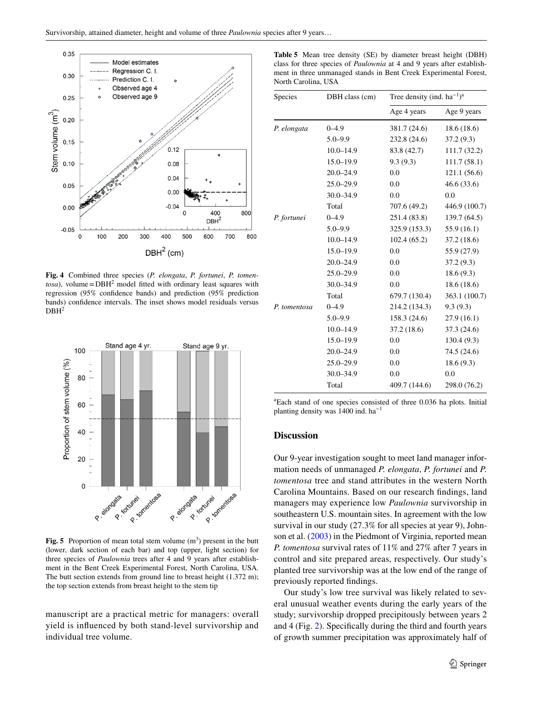

<span id="page-6-0"></span>**Fig. 4** Combined three species (*P. elongata*, *P. fortunei*, *P. tomen* $tosa$ , volume =  $DBH<sup>2</sup>$  model fitted with ordinary least squares with regression (95% confdence bands) and prediction (95% prediction bands) confdence intervals. The inset shows model residuals versus  $DBH<sup>2</sup>$ 



<span id="page-6-1"></span>**Fig. 5** Proportion of mean total stem volume  $(m<sup>3</sup>)$  present in the butt (lower, dark section of each bar) and top (upper, light section) for three species of *Paulownia* trees after 4 and 9 years after establishment in the Bent Creek Experimental Forest, North Carolina, USA. The butt section extends from ground line to breast height  $(1.372 \text{ m})$ ; the top section extends from breast height to the stem tip

manuscript are a practical metric for managers: overall yield is infuenced by both stand-level survivorship and individual tree volume.

<span id="page-6-2"></span>**Table 5** Mean tree density (SE) by diameter breast height (DBH) class for three species of *Paulownia* at 4 and 9 years after establishment in three unmanaged stands in Bent Creek Experimental Forest, North Carolina, USA

| Species      | DBH class (cm) |               | Tree density (ind. $ha^{-1}$ ) <sup>a</sup> |  |  |  |
|--------------|----------------|---------------|---------------------------------------------|--|--|--|
|              |                | Age 4 years   | Age 9 years                                 |  |  |  |
| P. elongata  | $0 - 4.9$      | 381.7 (24.6)  | 18.6(18.6)                                  |  |  |  |
|              | $5.0 - 9.9$    | 232.8 (24.6)  | 37.2(9.3)                                   |  |  |  |
|              | $10.0 - 14.9$  | 83.8 (42.7)   | 111.7(32.2)                                 |  |  |  |
|              | $15.0 - 19.9$  | 9.3(9.3)      | 111.7(58.1)                                 |  |  |  |
|              | $20.0 - 24.9$  | 0.0           | 121.1 (56.6)                                |  |  |  |
|              | $25.0 - 29.9$  | 0.0           | 46.6(33.6)                                  |  |  |  |
|              | $30.0 - 34.9$  | 0.0           | 0.0                                         |  |  |  |
|              | Total          | 707.6 (49.2)  | 446.9 (100.7)                               |  |  |  |
| P. fortunei  | $0 - 4.9$      | 251.4 (83.8)  | 139.7 (64.5)                                |  |  |  |
|              | $5.0 - 9.9$    | 325.9 (153.3) | 55.9(16.1)                                  |  |  |  |
|              | $10.0 - 14.9$  | 102.4(65.2)   | 37.2 (18.6)                                 |  |  |  |
|              | $15.0 - 19.9$  | 0.0           | 55.9 (27.9)                                 |  |  |  |
|              | $20.0 - 24.9$  | 0.0           | 37.2(9.3)                                   |  |  |  |
|              | $25.0 - 29.9$  | 0.0           | 18.6(9.3)                                   |  |  |  |
|              | $30.0 - 34.9$  | 0.0           | 18.6(18.6)                                  |  |  |  |
|              | Total          | 679.7 (130.4) | 363.1 (100.7)                               |  |  |  |
| P. tomentosa | $0 - 4.9$      | 214.2 (134.3) | 9.3(9.3)                                    |  |  |  |
|              | $5.0 - 9.9$    | 158.3 (24.6)  | 27.9(16.1)                                  |  |  |  |
|              | $10.0 - 14.9$  | 37.2(18.6)    | 37.3 (24.6)                                 |  |  |  |
|              | $15.0 - 19.9$  | 0.0           | 130.4(9.3)                                  |  |  |  |
|              | $20.0 - 24.9$  | 0.0           | 74.5 (24.6)                                 |  |  |  |
|              | $25.0 - 29.9$  | 0.0           | 18.6(9.3)                                   |  |  |  |
|              | $30.0 - 34.9$  | 0.0           | 0.0                                         |  |  |  |
|              | Total          | 409.7 (144.6) | 298.0 (76.2)                                |  |  |  |

a Each stand of one species consisted of three 0.036 ha plots. Initial planting density was 1400 ind. ha−1

#### **Discussion**

Our 9-year investigation sought to meet land manager information needs of unmanaged *P. elongata*, *P. fortunei* and *P. tomentosa* tree and stand attributes in the western North Carolina Mountains. Based on our research fndings, land managers may experience low *Paulownia* survivorship in southeastern U.S. mountain sites. In agreement with the low survival in our study (27.3% for all species at year 9), Johnson et al. [\(2003](#page-9-6)) in the Piedmont of Virginia, reported mean *P. tomentosa* survival rates of 11% and 27% after 7 years in control and site prepared areas, respectively. Our study's planted tree survivorship was at the low end of the range of previously reported fndings.

Our study's low tree survival was likely related to several unusual weather events during the early years of the study; survivorship dropped precipitously between years 2 and 4 (Fig. [2\)](#page-4-0). Specifcally during the third and fourth years of growth summer precipitation was approximately half of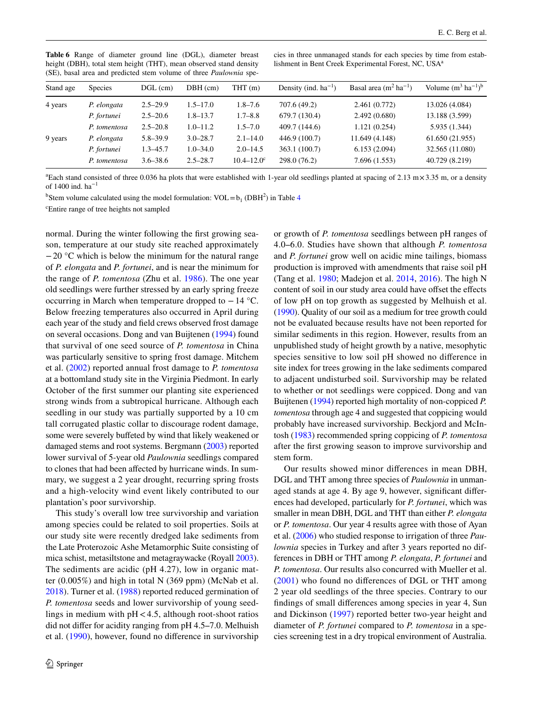| $\omega$ , $\omega$ , $\omega$ , $\omega$ , $\omega$ , $\omega$ , $\omega$ , $\omega$ , $\omega$ , $\omega$ , $\omega$ , $\omega$ , $\omega$ , $\omega$ , $\omega$ |                |              |              |                             |                           |                                    |                                  |  |  |
|--------------------------------------------------------------------------------------------------------------------------------------------------------------------|----------------|--------------|--------------|-----------------------------|---------------------------|------------------------------------|----------------------------------|--|--|
| Stand age                                                                                                                                                          | <b>Species</b> | $DGL$ (cm)   | $DBH$ (cm)   | THT(m)                      | Density (ind. $ha^{-1}$ ) | Basal area $(m^2 \text{ ha}^{-1})$ | Volume $(m^3 \text{ ha}^{-1})^b$ |  |  |
| 4 years                                                                                                                                                            | P. elongata    | $2.5 - 29.9$ | $1.5 - 17.0$ | 707.6 (49.2)<br>$1.8 - 7.6$ |                           | 2.461 (0.772)                      | 13.026 (4.084)                   |  |  |
|                                                                                                                                                                    | P. fortunei    | $2.5 - 20.6$ | $1.8 - 13.7$ | $1.7 - 8.8$                 | 679.7 (130.4)             | 2.492(0.680)                       | 13.188 (3.599)                   |  |  |
|                                                                                                                                                                    | P. tomentosa   | $2.5 - 20.8$ | $1.0 - 11.2$ | $1.5 - 7.0$                 | 409.7 (144.6)             | 1.121 (0.254)                      | 5.935 (1.344)                    |  |  |
| 9 years                                                                                                                                                            | P. elongata    | $5.8 - 39.9$ | $3.0 - 28.7$ | $2.1 - 14.0$                | 446.9 (100.7)             | 11.649 (4.148)                     | 61.650 (21.955)                  |  |  |
|                                                                                                                                                                    | P. fortunei    | $1.3 - 45.7$ | $1.0 - 34.0$ | $2.0 - 14.5$                | 363.1 (100.7)             | 6.153(2.094)                       | 32.565 (11.080)                  |  |  |
|                                                                                                                                                                    | P. tomentosa   | $3.6 - 38.6$ | $2.5 - 28.7$ | $10.4 - 12.0^{\circ}$       | 298.0 (76.2)              | 7.696(1.553)                       | 40.729 (8.219)                   |  |  |
|                                                                                                                                                                    |                |              |              |                             |                           |                                    |                                  |  |  |

<span id="page-7-0"></span>**Table 6** Range of diameter ground line (DGL), diameter breast height (DBH), total stem height (THT), mean observed stand density (SE), basal area and predicted stem volume of three *Paulownia* species in three unmanaged stands for each species by time from establishment in Bent Creek Experimental Forest, NC, USA<sup>a</sup>

<sup>a</sup> Each stand consisted of three 0.036 ha plots that were established with 1-year old seedlings planted at spacing of 2.13 m×3.35 m, or a density of 1400 ind. ha−1

<sup>b</sup>Stem volume calculated using the model formulation:  $VOL = b_1 (DBH^2)$  in Table [4](#page-5-1)

c Entire range of tree heights not sampled

normal. During the winter following the frst growing season, temperature at our study site reached approximately −20 °C which is below the minimum for the natural range of *P. elongata* and *P. fortunei*, and is near the minimum for the range of *P. tomentosa* (Zhu et al. [1986](#page-10-0)). The one year old seedlings were further stressed by an early spring freeze occurring in March when temperature dropped to −14 °C. Below freezing temperatures also occurred in April during each year of the study and feld crews observed frost damage on several occasions. Dong and van Buijtenen [\(1994](#page-9-9)) found that survival of one seed source of *P. tomentosa* in China was particularly sensitive to spring frost damage. Mitchem et al. [\(2002\)](#page-9-11) reported annual frost damage to *P. tomentosa* at a bottomland study site in the Virginia Piedmont. In early October of the frst summer our planting site experienced strong winds from a subtropical hurricane. Although each seedling in our study was partially supported by a 10 cm tall corrugated plastic collar to discourage rodent damage, some were severely buffeted by wind that likely weakened or damaged stems and root systems. Bergmann ([2003](#page-9-12)) reported lower survival of 5-year old *Paulownia* seedlings compared to clones that had been afected by hurricane winds. In summary, we suggest a 2 year drought, recurring spring frosts and a high-velocity wind event likely contributed to our plantation's poor survivorship.

This study's overall low tree survivorship and variation among species could be related to soil properties. Soils at our study site were recently dredged lake sediments from the Late Proterozoic Ashe Metamorphic Suite consisting of mica schist, metasiltstone and metagraywacke (Royall [2003](#page-9-21)). The sediments are acidic (pH 4.27), low in organic matter (0.005%) and high in total N (369 ppm) (McNab et al. [2018](#page-9-19)). Turner et al. ([1988\)](#page-9-17) reported reduced germination of *P. tomentosa* seeds and lower survivorship of young seedlings in medium with  $pH < 4.5$ , although root-shoot ratios did not differ for acidity ranging from pH 4.5–7.0. Melhuish et al. [\(1990](#page-9-22)), however, found no diference in survivorship or growth of *P. tomentosa* seedlings between pH ranges of 4.0‒6.0. Studies have shown that although *P. tomentosa* and *P. fortunei* grow well on acidic mine tailings, biomass production is improved with amendments that raise soil pH (Tang et al. [1980;](#page-9-1) Madejon et al. [2014](#page-9-23), [2016\)](#page-9-24). The high N content of soil in our study area could have offset the effects of low pH on top growth as suggested by Melhuish et al. [\(1990](#page-9-22)). Quality of our soil as a medium for tree growth could not be evaluated because results have not been reported for similar sediments in this region. However, results from an unpublished study of height growth by a native, mesophytic species sensitive to low soil pH showed no diference in site index for trees growing in the lake sediments compared to adjacent undisturbed soil. Survivorship may be related to whether or not seedlings were coppiced. Dong and van Buijtenen ([1994\)](#page-9-9) reported high mortality of non-coppiced *P. tomentosa* through age 4 and suggested that coppicing would probably have increased survivorship. Beckjord and McIntosh [\(1983\)](#page-9-2) recommended spring coppicing of *P. tomentosa* after the frst growing season to improve survivorship and stem form.

Our results showed minor diferences in mean DBH, DGL and THT among three species of *Paulownia* in unmanaged stands at age 4. By age 9, however, signifcant diferences had developed, particularly for *P. fortunei*, which was smaller in mean DBH, DGL and THT than either *P. elongata* or *P. tomentosa*. Our year 4 results agree with those of Ayan et al. ([2006\)](#page-9-13) who studied response to irrigation of three *Paulownia* species in Turkey and after 3 years reported no differences in DBH or THT among *P. elongata*, *P. fortunei* and *P. tomentosa*. Our results also concurred with Mueller et al. ([2001](#page-9-10)) who found no diferences of DGL or THT among 2 year old seedlings of the three species. Contrary to our fndings of small diferences among species in year 4, Sun and Dickinson ([1997](#page-9-0)) reported better two-year height and diameter of *P. fortunei* compared to *P. tomentosa* in a species screening test in a dry tropical environment of Australia.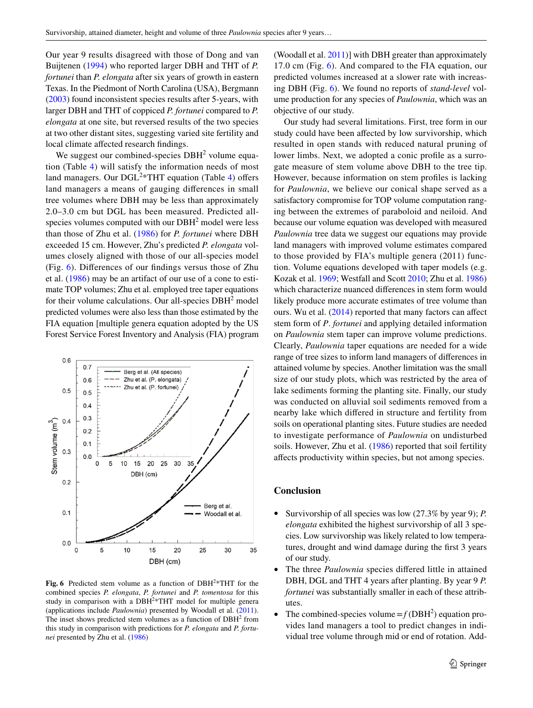Our year 9 results disagreed with those of Dong and van Buijtenen [\(1994\)](#page-9-9) who reported larger DBH and THT of *P. fortunei* than *P. elongata* after six years of growth in eastern Texas. In the Piedmont of North Carolina (USA), Bergmann [\(2003\)](#page-9-12) found inconsistent species results after 5-years, with larger DBH and THT of coppiced *P. fortunei* compared to *P. elongata* at one site, but reversed results of the two species at two other distant sites, suggesting varied site fertility and local climate afected research fndings.

We suggest our combined-species  $DBH<sup>2</sup>$  volume equation (Table [4\)](#page-5-1) will satisfy the information needs of most land managers. Our DGL<sup>2\*</sup>THT equation (Table [4\)](#page-5-1) offers land managers a means of gauging diferences in small tree volumes where DBH may be less than approximately 2.0–3.0 cm but DGL has been measured. Predicted allspecies volumes computed with our  $DBH<sup>2</sup>$  model were less than those of Zhu et al. ([1986](#page-10-0)) for *P. fortunei* where DBH exceeded 15 cm. However, Zhu's predicted *P. elongata* volumes closely aligned with those of our all-species model (Fig. [6](#page-8-0)). Diferences of our fndings versus those of Zhu et al. ([1986\)](#page-10-0) may be an artifact of our use of a cone to estimate TOP volumes; Zhu et al. employed tree taper equations for their volume calculations. Our all-species  $DBH<sup>2</sup>$  model predicted volumes were also less than those estimated by the FIA equation [multiple genera equation adopted by the US Forest Service Forest Inventory and Analysis (FIA) program



<span id="page-8-0"></span>**Fig. 6** Predicted stem volume as a function of DBH<sup>2</sup>\*THT for the combined species *P. elongata*, *P. fortunei* and *P. tomentosa* for this study in comparison with a  $DBH<sup>2</sup>*THT$  model for multiple genera (applications include *Paulownia*) presented by Woodall et al. [\(2011](#page-10-4)). The inset shows predicted stem volumes as a function of  $DBH<sup>2</sup>$  from this study in comparison with predictions for *P. elongata* and *P. fortunei* presented by Zhu et al. ([1986\)](#page-10-0)

(Woodall et al. [2011](#page-10-4))] with DBH greater than approximately 17.0 cm (Fig. [6](#page-8-0)). And compared to the FIA equation, our predicted volumes increased at a slower rate with increasing DBH (Fig. [6\)](#page-8-0). We found no reports of *stand*-*level* volume production for any species of *Paulownia*, which was an objective of our study.

Our study had several limitations. First, tree form in our study could have been afected by low survivorship, which resulted in open stands with reduced natural pruning of lower limbs. Next, we adopted a conic profle as a surrogate measure of stem volume above DBH to the tree tip. However, because information on stem profles is lacking for *Paulownia*, we believe our conical shape served as a satisfactory compromise for TOP volume computation ranging between the extremes of paraboloid and neiloid. And because our volume equation was developed with measured *Paulownia* tree data we suggest our equations may provide land managers with improved volume estimates compared to those provided by FIA's multiple genera (2011) function. Volume equations developed with taper models (e.g. Kozak et al. [1969;](#page-9-25) Westfall and Scott [2010;](#page-10-5) Zhu et al. [1986\)](#page-10-0) which characterize nuanced diferences in stem form would likely produce more accurate estimates of tree volume than ours. Wu et al. ([2014\)](#page-10-3) reported that many factors can affect stem form of *P*. *fortunei* and applying detailed information on *Paulownia* stem taper can improve volume predictions. Clearly, *Paulownia* taper equations are needed for a wide range of tree sizes to inform land managers of diferences in attained volume by species. Another limitation was the small size of our study plots, which was restricted by the area of lake sediments forming the planting site. Finally, our study was conducted on alluvial soil sediments removed from a nearby lake which difered in structure and fertility from soils on operational planting sites. Future studies are needed to investigate performance of *Paulownia* on undisturbed soils. However, Zhu et al. ([1986](#page-10-0)) reported that soil fertility afects productivity within species, but not among species.

#### **Conclusion**

- Survivorship of all species was low (27.3% by year 9); *P. elongata* exhibited the highest survivorship of all 3 species. Low survivorship was likely related to low temperatures, drought and wind damage during the frst 3 years of our study.
- The three *Paulownia* species differed little in attained DBH, DGL and THT 4 years after planting. By year 9 *P. fortunei* was substantially smaller in each of these attributes.
- The combined-species volume  $=f(\text{DBH}^2)$  equation provides land managers a tool to predict changes in individual tree volume through mid or end of rotation. Add-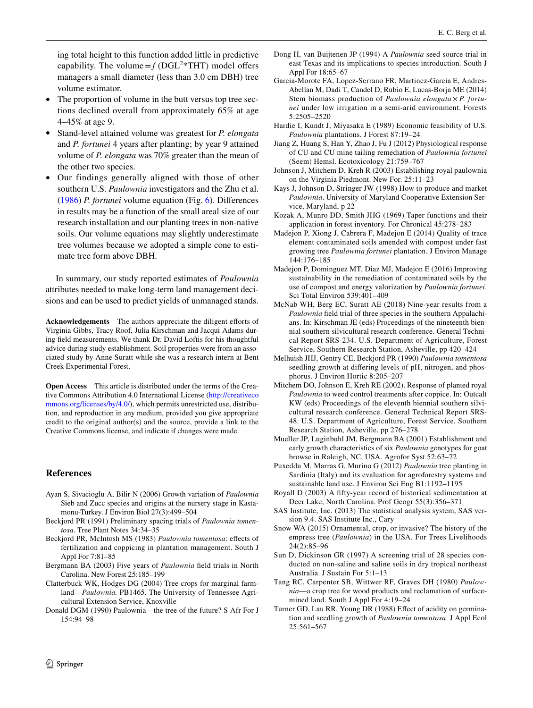ing total height to this function added little in predictive capability. The volume  $=f(DGL<sup>2</sup>*THT)$  model offers managers a small diameter (less than 3.0 cm DBH) tree volume estimator.

- The proportion of volume in the butt versus top tree sections declined overall from approximately 65% at age 4–45% at age 9.
- Stand-level attained volume was greatest for *P. elongata* and *P. fortunei* 4 years after planting; by year 9 attained volume of *P. elongata* was 70% greater than the mean of the other two species.
- Our findings generally aligned with those of other southern U.S. *Paulownia* investigators and the Zhu et al. ([1986\)](#page-10-0) *P. fortunei* volume equation (Fig. [6](#page-8-0)). Diferences in results may be a function of the small areal size of our research installation and our planting trees in non-native soils. Our volume equations may slightly underestimate tree volumes because we adopted a simple cone to estimate tree form above DBH.

In summary, our study reported estimates of *Paulownia* attributes needed to make long-term land management decisions and can be used to predict yields of unmanaged stands.

Acknowledgements The authors appreciate the diligent efforts of Virginia Gibbs, Tracy Roof, Julia Kirschman and Jacqui Adams during feld measurements. We thank Dr. David Loftis for his thoughtful advice during study establishment. Soil properties were from an associated study by Anne Suratt while she was a research intern at Bent Creek Experimental Forest.

**Open Access** This article is distributed under the terms of the Creative Commons Attribution 4.0 International License [\(http://creativeco](http://creativecommons.org/licenses/by/4.0/) [mmons.org/licenses/by/4.0/](http://creativecommons.org/licenses/by/4.0/)), which permits unrestricted use, distribution, and reproduction in any medium, provided you give appropriate credit to the original author(s) and the source, provide a link to the Creative Commons license, and indicate if changes were made.

### **References**

- <span id="page-9-13"></span>Ayan S, Sivacioglu A, Bilir N (2006) Growth variation of *Paulownia* Sieb and Zucc species and origins at the nursery stage in Kastamonu-Turkey. J Environ Biol 27(3):499–504
- <span id="page-9-3"></span>Beckjord PR (1991) Preliminary spacing trials of *Paulownia tomentosa*. Tree Plant Notes 34:34–35
- <span id="page-9-2"></span>Beckjord PR, McIntosh MS (1983) *Paulownia tomentosa*: efects of fertilization and coppicing in plantation management. South J Appl For 7:81–85
- <span id="page-9-12"></span>Bergmann BA (2003) Five years of *Paulownia* feld trials in North Carolina. New Forest 25:185–199
- <span id="page-9-7"></span>Clatterbuck WK, Hodges DG (2004) Tree crops for marginal farmland—*Paulownia.* PB1465. The University of Tennessee Agricultural Extension Service, Knoxville
- <span id="page-9-15"></span>Donald DGM (1990) Paulownia—the tree of the future? S Afr For J 154:94–98
- <span id="page-9-9"></span>Dong H, van Buijtenen JP (1994) A *Paulownia* seed source trial in east Texas and its implications to species introduction. South J Appl For 18:65–67
- <span id="page-9-14"></span>Garcia-Morote FA, Lopez-Serrano FR, Martinez-Garcia E, Andres-Abellan M, Dadi T, Candel D, Rubio E, Lucas-Borja ME (2014) Stem biomass production of *Paulownia elongata* × *P. fortunei* under low irrigation in a semi-arid environment. Forests 5:2505–2520
- <span id="page-9-8"></span>Hardie I, Kundt J, Miyasaka E (1989) Economic feasibility of U.S. *Paulownia* plantations. J Forest 87:19–24
- <span id="page-9-16"></span>Jiang Z, Huang S, Han Y, Zhao J, Fu J (2012) Physiological response of CU and CU mine tailing remediation of *Paulownia fortunei* (Seem) Hemsl. Ecotoxicology 21:759–767
- <span id="page-9-6"></span>Johnson J, Mitchem D, Kreh R (2003) Establishing royal paulownia on the Virginia Piedmont. New For. 25:11–23
- <span id="page-9-5"></span>Kays J, Johnson D, Stringer JW (1998) How to produce and market *Paulownia*. University of Maryland Cooperative Extension Service, Maryland, p 22
- <span id="page-9-25"></span>Kozak A, Munro DD, Smith JHG (1969) Taper functions and their application in forest inventory. For Chronical 45:278–283
- <span id="page-9-23"></span>Madejon P, Xiong J, Cabrera F, Madejon E (2014) Quality of trace element contaminated soils amended with compost under fast growing tree *Paulownia fortunei* plantation. J Environ Manage 144:176–185
- <span id="page-9-24"></span>Madejon P, Dominguez MT, Diaz MJ, Madejon E (2016) Improving sustainability in the remediation of contaminated soils by the use of compost and energy valorization by *Paulownia fortunei*. Sci Total Environ 539:401–409
- <span id="page-9-19"></span>McNab WH, Berg EC, Suratt AE (2018) Nine-year results from a *Paulownia* feld trial of three species in the southern Appalachians. In: Kirschman JE (eds) Proceedings of the nineteenth biennial southern silvicultural research conference. General Technical Report SRS-234. U.S. Department of Agriculture, Forest Service, Southern Research Station, Asheville, pp 420–424
- <span id="page-9-22"></span>Melhuish JHJ, Gentry CE, Beckjord PR (1990) *Paulownia tomentosa* seedling growth at difering levels of pH, nitrogen, and phosphorus. J Environ Hortic 8:205–207
- <span id="page-9-11"></span>Mitchem DO, Johnson E, Kreh RE (2002). Response of planted royal *Paulownia* to weed control treatments after coppice. In: Outcalt KW (eds) Proceedings of the eleventh biennial southern silvicultural research conference. General Technical Report SRS-48. U.S. Department of Agriculture, Forest Service, Southern Research Station, Asheville, pp 276–278
- <span id="page-9-10"></span>Mueller JP, Luginbuhl JM, Bergmann BA (2001) Establishment and early growth characteristics of six *Paulownia* genotypes for goat browse in Raleigh, NC, USA. Agrofor Syst 52:63–72
- <span id="page-9-4"></span>Puxeddu M, Marras G, Murino G (2012) *Paulownia* tree planting in Sardinia (Italy) and its evaluation for agroforestry systems and sustainable land use. J Environ Sci Eng B1:1192–1195
- <span id="page-9-21"></span>Royall D (2003) A ffty-year record of historical sedimentation at Deer Lake, North Carolina. Prof Geogr 55(3):356–371
- <span id="page-9-20"></span>SAS Institute, Inc. (2013) The statistical analysis system, SAS version 9.4. SAS Institute Inc., Cary
- <span id="page-9-18"></span>Snow WA (2015) Ornamental, crop, or invasive? The history of the empress tree (*Paulownia*) in the USA. For Trees Livelihoods 24(2):85–96
- <span id="page-9-0"></span>Sun D, Dickinson GR (1997) A screening trial of 28 species conducted on non-saline and saline soils in dry tropical northeast Australia. J Sustain For 5:1–13
- <span id="page-9-1"></span>Tang RC, Carpenter SB, Wittwer RF, Graves DH (1980) *Paulownia*—a crop tree for wood products and reclamation of surfacemined land. South J Appl For 4:19–24
- <span id="page-9-17"></span>Turner GD, Lau RR, Young DR (1988) Efect of acidity on germination and seedling growth of *Paulownia tomentosa*. J Appl Ecol 25:561–567